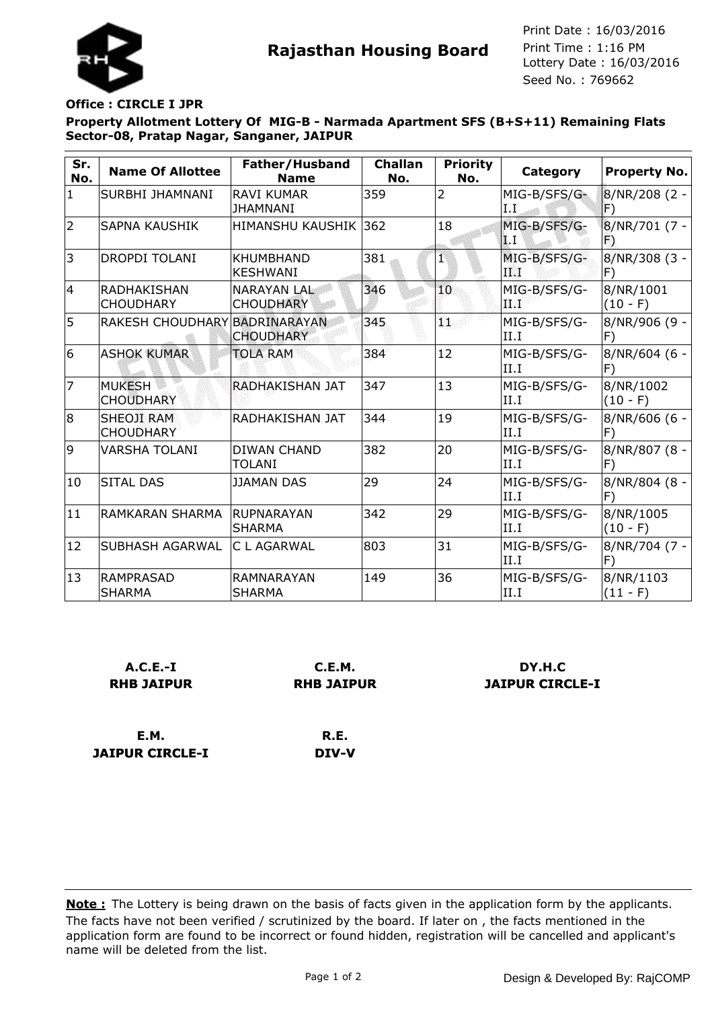

**Rajasthan Housing Board** Print Time : 1:16 PM<br>Lottery Date : 16/03/2016 Seed No. : 769662 Print Date : 16/03/2016 Print Time : 1:16 PM

## **Office : CIRCLE I JPR**

**Property Allotment Lottery Of MIG-B - Narmada Apartment SFS (B+S+11) Remaining Flats Sector-08, Pratap Nagar, Sanganer, JAIPUR**

| Sr.<br>No.     | <b>Name Of Allottee</b>                | Father/Husband<br><b>Name</b>          | <b>Challan</b><br>No. | <b>Priority</b><br>No. | <b>Category</b>                | <b>Property No.</b>                   |
|----------------|----------------------------------------|----------------------------------------|-----------------------|------------------------|--------------------------------|---------------------------------------|
| $\mathbf{1}$   | SURBHI JHAMNANI                        | <b>RAVI KUMAR</b><br><b>JHAMNANI</b>   | 359                   | 2                      | MIG-B/SFS/G-<br>I.I            | 8/NR/208 (2 -<br>$ \mathsf{F}\rangle$ |
| $\overline{2}$ | <b>SAPNA KAUSHIK</b>                   | <b>HIMANSHU KAUSHIK 362</b>            |                       | 18                     | MIG-B/SFS/G-<br>$\mathbf{L}$ T | 8/NR/701 (7 -<br>Ð                    |
| 3              | <b>DROPDI TOLANI</b>                   | <b>KHUMBHAND</b><br><b>KESHWANI</b>    | 381                   | 1                      | MIG-B/SFS/G-<br>ПØТ            | $8/NR/308$ (3 -<br>F)                 |
| 14             | <b>RADHAKISHAN</b><br><b>CHOUDHARY</b> | <b>NARAYAN LAL</b><br><b>CHOUDHARY</b> | 346                   | 10                     | MIG-B/SFS/G-<br>$43\%$         | 8/NR/1001<br>$(10 - F)$               |
| 5              | RAKESH CHOUDHARY BADRINARAYAN          | <b>CHOUDHARY</b>                       | 345                   | W,                     | MIG-B/SFS/G-<br>II.I           | 8/NR/906 (9 -<br> F)                  |
| 6              | <b>ASHOK KUMAR</b>                     | <b>TOLA RAM</b>                        | 384                   | 12                     | MIG-B/SFS/G-<br>II.I           | 8/NR/604 (6 -<br>F)                   |
| $\overline{7}$ | <b>MUKESH</b><br><b>CHOUDHARY</b>      | RADHAKISHAN JAT                        | 347                   | 13                     | MIG-B/SFS/G-<br>II.I           | 8/NR/1002<br>$(10 - F)$               |
| 8              | <b>SHEOJI RAM</b><br><b>CHOUDHARY</b>  | RADHAKISHAN JAT                        | 344                   | 19                     | MIG-B/SFS/G-<br>II.I           | 8/NR/606 (6 -<br> F)                  |
| 9              | <b>VARSHA TOLANI</b>                   | <b>DIWAN CHAND</b><br><b>TOLANI</b>    | 382                   | 20                     | MIG-B/SFS/G-<br>II.I           | 8/NR/807 (8 -<br>F)                   |
| 10             | <b>SITAL DAS</b>                       | <b>JJAMAN DAS</b>                      | 29                    | 24                     | MIG-B/SFS/G-<br>II.I           | 8/NR/804 (8 -<br>F)                   |
| 11             | <b>RAMKARAN SHARMA</b>                 | <b>RUPNARAYAN</b><br><b>SHARMA</b>     | 342                   | 29                     | MIG-B/SFS/G-<br>II.I           | 8/NR/1005<br>$(10 - F)$               |
| 12             | <b>SUBHASH AGARWAL</b>                 | C L AGARWAL                            | 803                   | 31                     | MIG-B/SFS/G-<br>II.I           | 8/NR/704 (7 -<br>F)                   |
| 13             | <b>RAMPRASAD</b><br><b>SHARMA</b>      | <b>RAMNARAYAN</b><br><b>SHARMA</b>     | 149                   | 36                     | MIG-B/SFS/G-<br>II.I           | 8/NR/1103<br>$(11 - F)$               |

| $A.C.E.-I$                            | C.E.M.            | DY.H.C                 |  |  |
|---------------------------------------|-------------------|------------------------|--|--|
| <b>RHB JAIPUR</b>                     | <b>RHB JAIPUR</b> | <b>JAIPUR CIRCLE-I</b> |  |  |
| <b>E.M.</b><br><b>JAIPUR CIRCLE-I</b> | R.E.<br>DIV-V     |                        |  |  |

The facts have not been verified / scrutinized by the board. If later on , the facts mentioned in the application form are found to be incorrect or found hidden, registration will be cancelled and applicant's name will be deleted from the list. **Note :** The Lottery is being drawn on the basis of facts given in the application form by the applicants.